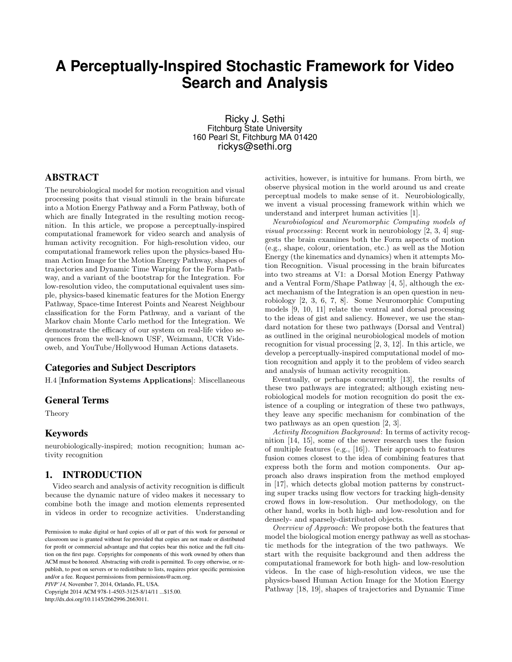# **A Perceptually-Inspired Stochastic Framework for Video Search and Analysis**

Ricky J. Sethi Fitchburg State University 160 Pearl St, Fitchburg MA 01420 rickys@sethi.org

## ABSTRACT

The neurobiological model for motion recognition and visual processing posits that visual stimuli in the brain bifurcate into a Motion Energy Pathway and a Form Pathway, both of which are finally Integrated in the resulting motion recognition. In this article, we propose a perceptually-inspired computational framework for video search and analysis of human activity recognition. For high-resolution video, our computational framework relies upon the physics-based Human Action Image for the Motion Energy Pathway, shapes of trajectories and Dynamic Time Warping for the Form Pathway, and a variant of the bootstrap for the Integration. For low-resolution video, the computational equivalent uses simple, physics-based kinematic features for the Motion Energy Pathway, Space-time Interest Points and Nearest Neighbour classification for the Form Pathway, and a variant of the Markov chain Monte Carlo method for the Integration. We demonstrate the efficacy of our system on real-life video sequences from the well-known USF, Weizmann, UCR Videoweb, and YouTube/Hollywood Human Actions datasets.

## Categories and Subject Descriptors

H.4 [Information Systems Applications]: Miscellaneous

#### General Terms

Theory

## Keywords

neurobiologically-inspired; motion recognition; human activity recognition

## 1. INTRODUCTION

Video search and analysis of activity recognition is difficult because the dynamic nature of video makes it necessary to combine both the image and motion elements represented in videos in order to recognize activities. Understanding

*PIVP'14,* November 7, 2014, Orlando, FL, USA.

Copyright 2014 ACM 978-1-4503-3125-8/14/11 ...\$15.00. http://dx.doi.org/10.1145/2662996.2663011.

activities, however, is intuitive for humans. From birth, we observe physical motion in the world around us and create perceptual models to make sense of it. Neurobiologically, we invent a visual processing framework within which we understand and interpret human activities [1].

Neurobiological and Neuromorphic Computing models of visual processing: Recent work in neurobiology [2, 3, 4] suggests the brain examines both the Form aspects of motion (e.g., shape, colour, orientation, etc.) as well as the Motion Energy (the kinematics and dynamics) when it attempts Motion Recognition. Visual processing in the brain bifurcates into two streams at V1: a Dorsal Motion Energy Pathway and a Ventral Form/Shape Pathway [4, 5], although the exact mechanism of the Integration is an open question in neurobiology [2, 3, 6, 7, 8]. Some Neuromorphic Computing models [9, 10, 11] relate the ventral and dorsal processing to the ideas of gist and saliency. However, we use the standard notation for these two pathways (Dorsal and Ventral) as outlined in the original neurobiological models of motion recognition for visual processing [2, 3, 12]. In this article, we develop a perceptually-inspired computational model of motion recognition and apply it to the problem of video search and analysis of human activity recognition.

Eventually, or perhaps concurrently [13], the results of these two pathways are integrated; although existing neurobiological models for motion recognition do posit the existence of a coupling or integration of these two pathways, they leave any specific mechanism for combination of the two pathways as an open question [2, 3].

Activity Recognition Background: In terms of activity recognition [14, 15], some of the newer research uses the fusion of multiple features (e.g., [16]). Their approach to features fusion comes closest to the idea of combining features that express both the form and motion components. Our approach also draws inspiration from the method employed in [17], which detects global motion patterns by constructing super tracks using flow vectors for tracking high-density crowd flows in low-resolution. Our methodology, on the other hand, works in both high- and low-resolution and for densely- and sparsely-distributed objects.

Overview of Approach: We propose both the features that model the biological motion energy pathway as well as stochastic methods for the integration of the two pathways. We start with the requisite background and then address the computational framework for both high- and low-resolution videos. In the case of high-resolution videos, we use the physics-based Human Action Image for the Motion Energy Pathway [18, 19], shapes of trajectories and Dynamic Time

Permission to make digital or hard copies of all or part of this work for personal or classroom use is granted without fee provided that copies are not made or distributed for profit or commercial advantage and that copies bear this notice and the full citation on the first page. Copyrights for components of this work owned by others than ACM must be honored. Abstracting with credit is permitted. To copy otherwise, or republish, to post on servers or to redistribute to lists, requires prior specific permission and/or a fee. Request permissions from permissions@acm.org.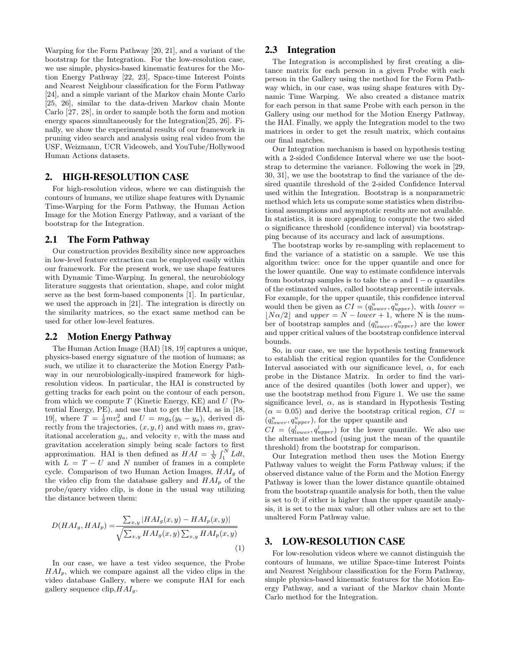Warping for the Form Pathway [20, 21], and a variant of the bootstrap for the Integration. For the low-resolution case, we use simple, physics-based kinematic features for the Motion Energy Pathway [22, 23], Space-time Interest Points and Nearest Neighbour classification for the Form Pathway [24], and a simple variant of the Markov chain Monte Carlo [25, 26], similar to the data-driven Markov chain Monte Carlo [27, 28], in order to sample both the form and motion energy spaces simultaneously for the Integration[25, 26]. Finally, we show the experimental results of our framework in pruning video search and analysis using real video from the USF, Weizmann, UCR Videoweb, and YouTube/Hollywood Human Actions datasets.

### 2. HIGH-RESOLUTION CASE

For high-resolution videos, where we can distinguish the contours of humans, we utilize shape features with Dynamic Time-Warping for the Form Pathway, the Human Action Image for the Motion Energy Pathway, and a variant of the bootstrap for the Integration.

## 2.1 The Form Pathway

Our construction provides flexibility since new approaches in low-level feature extraction can be employed easily within our framework. For the present work, we use shape features with Dynamic Time-Warping. In general, the neurobiology literature suggests that orientation, shape, and color might serve as the best form-based components [1]. In particular, we used the approach in [21]. The integration is directly on the similarity matrices, so the exact same method can be used for other low-level features.

#### 2.2 Motion Energy Pathway

The Human Action Image (HAI) [18, 19] captures a unique, physics-based energy signature of the motion of humans; as such, we utilize it to characterize the Motion Energy Pathway in our neurobiologically-inspired framework for highresolution videos. In particular, the HAI is constructed by getting tracks for each point on the contour of each person, from which we compute  $T$  (Kinetic Energy, KE) and  $U$  (Potential Energy, PE), and use that to get the HAI, as in [18, 19], where  $T = \frac{1}{2}mv_o^2$  and  $U = mg_a(y_b - y_a)$ , derived directly from the trajectories,  $(x, y, t)$  and with mass m, gravitational acceleration  $g_a$ , and velocity v, with the mass and gravitation acceleration simply being scale factors to first approximation. HAI is then defined as  $HAI = \frac{1}{N} \int_1^N L dt$ , with  $L = T - U$  and N number of frames in a complete cycle. Comparison of two Human Action Images,  $HAI<sub>q</sub>$  of the video clip from the database gallery and  $HAI_p$  of the probe/query video clip, is done in the usual way utilizing the distance between them:

$$
D(HAI_g, HAI_p) = \frac{\sum_{x,y} |HAI_g(x,y) - HAI_p(x,y)|}{\sqrt{\sum_{x,y} HAI_g(x,y) \sum_{x,y} HAI_p(x,y)}}
$$
\n(1)

In our case, we have a test video sequence, the Probe  $HAI<sub>p</sub>$ , which we compare against all the video clips in the video database Gallery, where we compute HAI for each gallery sequence clip,  $HAI<sub>g</sub>$ .

## 2.3 Integration

The Integration is accomplished by first creating a distance matrix for each person in a given Probe with each person in the Gallery using the method for the Form Pathway which, in our case, was using shape features with Dynamic Time Warping. We also created a distance matrix for each person in that same Probe with each person in the Gallery using our method for the Motion Energy Pathway, the HAI. Finally, we apply the Integration model to the two matrices in order to get the result matrix, which contains our final matches.

Our Integration mechanism is based on hypothesis testing with a 2-sided Confidence Interval where we use the bootstrap to determine the variance. Following the work in [29, 30, 31], we use the bootstrap to find the variance of the desired quantile threshold of the 2-sided Confidence Interval used within the Integration. Bootstrap is a nonparametric method which lets us compute some statistics when distributional assumptions and asymptotic results are not available. In statistics, it is more appealing to compute the two sided  $\alpha$  significance threshold (confidence interval) via bootstrapping because of its accuracy and lack of assumptions.

The bootstrap works by re-sampling with replacement to find the variance of a statistic on a sample. We use this algorithm twice: once for the upper quantile and once for the lower quantile. One way to estimate confidence intervals from bootstrap samples is to take the  $\alpha$  and  $1 - \alpha$  quantiles of the estimated values, called bootstrap percentile intervals. For example, for the upper quantile, this confidence interval would then be given as  $CI = (q_{lower}^u, q_{upper}^u)$ , with  $lower =$  $|N\alpha/2|$  and upper = N – lower + 1, where N is the number of bootstrap samples and  $(q_{lower}^u, q_{upper}^u)$  are the lower and upper critical values of the bootstrap confidence interval bounds.

So, in our case, we use the hypothesis testing framework to establish the critical region quantiles for the Confidence Interval associated with our significance level,  $\alpha$ , for each probe in the Distance Matrix. In order to find the variance of the desired quantiles (both lower and upper), we use the bootstrap method from Figure 1. We use the same significance level,  $\alpha$ , as is standard in Hypothesis Testing  $(\alpha = 0.05)$  and derive the bootstrap critical region,  $CI =$  $(q_{lower}^u, q_{upper}^u)$ , for the upper quantile and

 $CI = (q_{lower}^l, q_{upper}^l)$  for the lower quantile. We also use the alternate method (using just the mean of the quantile threshold) from the bootstrap for comparison.

Our Integration method then uses the Motion Energy Pathway values to weight the Form Pathway values; if the observed distance value of the Form and the Motion Energy Pathway is lower than the lower distance quantile obtained from the bootstrap quantile analysis for both, then the value is set to 0; if either is higher than the upper quantile analysis, it is set to the max value; all other values are set to the unaltered Form Pathway value.

#### 3. LOW-RESOLUTION CASE

For low-resolution videos where we cannot distinguish the contours of humans, we utilize Space-time Interest Points and Nearest Neighbour classification for the Form Pathway, simple physics-based kinematic features for the Motion Energy Pathway, and a variant of the Markov chain Monte Carlo method for the Integration.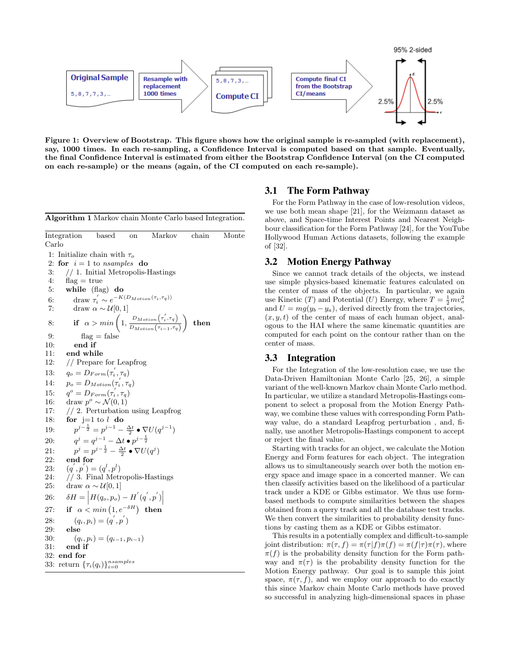

Figure 1: Overview of Bootstrap. This figure shows how the original sample is re-sampled (with replacement), say, 1000 times. In each re-sampling, a Confidence Interval is computed based on that sample. Eventually, the final Confidence Interval is estimated from either the Bootstrap Confidence Interval (on the CI computed on each re-sample) or the means (again, of the CI computed on each re-sample).

Algorithm 1 Markov chain Monte Carlo based Integration.

Integration based on Markov chain Monte Carlo 1: Initialize chain with  $\tau_o$ 2: for  $i = 1$  to *nsamples* do 3: // 1. Initial Metropolis-Hastings 4:  $flag = true$ 5: while (flag) do 6: draw  $\tau'_i \sim e^{-K(D_{Motion}(\tau_i, \tau_q))}$  $\frac{1}{i} \sim e$ 7: draw  $\alpha \sim \mathcal{U}[0, 1]$ 8: if  $\alpha > min\left(1, \frac{D_{Motion}(\tau'_i, \tau_q)}{D}\right)$  $D_{Motion}(\tau_{i-1}, \tau_q)$  $\setminus$ then 9:  $\text{flag} = \text{false}$ 10: end if 11: end while 12: // Prepare for Leapfrog 13:  $q_o = D_{Form}(\tau_i^{'}, \tau_q)$ 14:  $p_o = D_{Motion}(\tau_i^{'}, \tau_q)$  $15:$  $^o = D_{Form}(\tau_i^{'}, \tau_q)$ 16: draw  $p^o \sim \mathcal{N}(0, 1)$ 17: // 2. Perturbation using Leapfrog 18: for  $j=1$  to  $l$  do 19:  $p^{j-\frac{1}{2}} = p^{j-1} - \frac{\Delta t}{2} \bullet \nabla U(q^{j-1})$  $20:$  $j=q^{j-1}-\Delta t\bullet p^{j-\frac{1}{2}}$  $21:$  $j = p^{j - \frac{1}{2}} - \frac{\Delta t}{2}$  ●  $\nabla U(q^j)$ 22: end for 23:  $(q', p') = (q^l, p^l)$ 24: // 3. Final Metropolis-Hastings 25: draw  $\alpha \sim \mathcal{U}[0, 1]$ 26:  $\delta H = \left| H(q_o, p_o) - H^{'}(q^{'}, p^{'}) \right|$ 27: if  $\alpha < min(1, e^{-\delta H})$  then 28:  $(q_i, p_i) = (q^{'}, p^{'})$ 29: else 30:  $(q_i, p_i) = (q_{i-1}, p_{i-1})$ 31: end if 32: end for 33: return  $\{\tau_i(q_i)\}_{i=0}^{nsamples}$ 

#### 3.1 The Form Pathway

For the Form Pathway in the case of low-resolution videos, we use both mean shape [21], for the Weizmann dataset as above, and Space-time Interest Points and Nearest Neighbour classification for the Form Pathway [24], for the YouTube Hollywood Human Actions datasets, following the example of [32].

## 3.2 Motion Energy Pathway

Since we cannot track details of the objects, we instead use simple physics-based kinematic features calculated on the center of mass of the objects. In particular, we again use Kinetic (*T*) and Potential (*U*) Energy, where  $T = \frac{1}{2}mv_o^2$ and  $U = mg(y_b - y_a)$ , derived directly from the trajectories,  $(x, y, t)$  of the center of mass of each human object, analogous to the HAI where the same kinematic quantities are computed for each point on the contour rather than on the center of mass.

## 3.3 Integration

For the Integration of the low-resolution case, we use the Data-Driven Hamiltonian Monte Carlo [25, 26], a simple variant of the well-known Markov chain Monte Carlo method. In particular, we utilize a standard Metropolis-Hastings component to select a proposal from the Motion Energy Pathway, we combine these values with corresponding Form Pathway value, do a standard Leapfrog perturbation , and, finally, use another Metropolis-Hastings component to accept or reject the final value.

Starting with tracks for an object, we calculate the Motion Energy and Form features for each object. The integration allows us to simultaneously search over both the motion energy space and image space in a concerted manner. We can then classify activities based on the likelihood of a particular track under a KDE or Gibbs estimator. We thus use formbased methods to compute similarities between the shapes obtained from a query track and all the database test tracks. We then convert the similarities to probability density functions by casting them as a KDE or Gibbs estimator.

This results in a potentially complex and difficult-to-sample joint distribution:  $\pi(\tau, f) = \pi(\tau | f) \pi(f) = \pi(f | \tau) \pi(\tau)$ , where  $\pi(f)$  is the probability density function for the Form pathway and  $\pi(\tau)$  is the probability density function for the Motion Energy pathway. Our goal is to sample this joint space,  $\pi(\tau, f)$ , and we employ our approach to do exactly this since Markov chain Monte Carlo methods have proved so successful in analyzing high-dimensional spaces in phase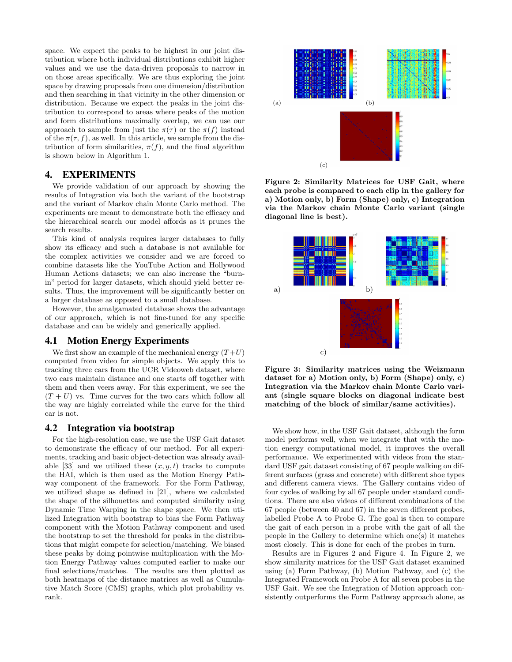space. We expect the peaks to be highest in our joint distribution where both individual distributions exhibit higher values and we use the data-driven proposals to narrow in on those areas specifically. We are thus exploring the joint space by drawing proposals from one dimension/distribution and then searching in that vicinity in the other dimension or distribution. Because we expect the peaks in the joint distribution to correspond to areas where peaks of the motion and form distributions maximally overlap, we can use our approach to sample from just the  $\pi(\tau)$  or the  $\pi(f)$  instead of the  $\pi(\tau, f)$ , as well. In this article, we sample from the distribution of form similarities,  $\pi(f)$ , and the final algorithm is shown below in Algorithm 1.

### 4. EXPERIMENTS

We provide validation of our approach by showing the results of Integration via both the variant of the bootstrap and the variant of Markov chain Monte Carlo method. The experiments are meant to demonstrate both the efficacy and the hierarchical search our model affords as it prunes the search results.

This kind of analysis requires larger databases to fully show its efficacy and such a database is not available for the complex activities we consider and we are forced to combine datasets like the YouTube Action and Hollywood Human Actions datasets; we can also increase the "burnin" period for larger datasets, which should yield better results. Thus, the improvement will be significantly better on a larger database as opposed to a small database.

However, the amalgamated database shows the advantage of our approach, which is not fine-tuned for any specific database and can be widely and generically applied.

#### 4.1 Motion Energy Experiments

We first show an example of the mechanical energy  $(T+U)$ computed from video for simple objects. We apply this to tracking three cars from the UCR Videoweb dataset, where two cars maintain distance and one starts off together with them and then veers away. For this experiment, we see the  $(T + U)$  vs. Time curves for the two cars which follow all the way are highly correlated while the curve for the third car is not.

### 4.2 Integration via bootstrap

For the high-resolution case, we use the USF Gait dataset to demonstrate the efficacy of our method. For all experiments, tracking and basic object-detection was already available [33] and we utilized these  $(x, y, t)$  tracks to compute the HAI, which is then used as the Motion Energy Pathway component of the framework. For the Form Pathway, we utilized shape as defined in [21], where we calculated the shape of the silhouettes and computed similarity using Dynamic Time Warping in the shape space. We then utilized Integration with bootstrap to bias the Form Pathway component with the Motion Pathway component and used the bootstrap to set the threshold for peaks in the distributions that might compete for selection/matching. We biased these peaks by doing pointwise multiplication with the Motion Energy Pathway values computed earlier to make our final selections/matches. The results are then plotted as both heatmaps of the distance matrices as well as Cumulative Match Score (CMS) graphs, which plot probability vs. rank.



Figure 2: Similarity Matrices for USF Gait, where each probe is compared to each clip in the gallery for a) Motion only, b) Form (Shape) only, c) Integration via the Markov chain Monte Carlo variant (single diagonal line is best).



Figure 3: Similarity matrices using the Weizmann dataset for a) Motion only, b) Form (Shape) only, c) Integration via the Markov chain Monte Carlo variant (single square blocks on diagonal indicate best matching of the block of similar/same activities).

We show how, in the USF Gait dataset, although the form model performs well, when we integrate that with the motion energy computational model, it improves the overall performance. We experimented with videos from the standard USF gait dataset consisting of 67 people walking on different surfaces (grass and concrete) with different shoe types and different camera views. The Gallery contains video of four cycles of walking by all 67 people under standard conditions. There are also videos of different combinations of the 67 people (between 40 and 67) in the seven different probes, labelled Probe A to Probe G. The goal is then to compare the gait of each person in a probe with the gait of all the people in the Gallery to determine which one(s) it matches most closely. This is done for each of the probes in turn.

Results are in Figures 2 and Figure 4. In Figure 2, we show similarity matrices for the USF Gait dataset examined using (a) Form Pathway, (b) Motion Pathway, and (c) the Integrated Framework on Probe A for all seven probes in the USF Gait. We see the Integration of Motion approach consistently outperforms the Form Pathway approach alone, as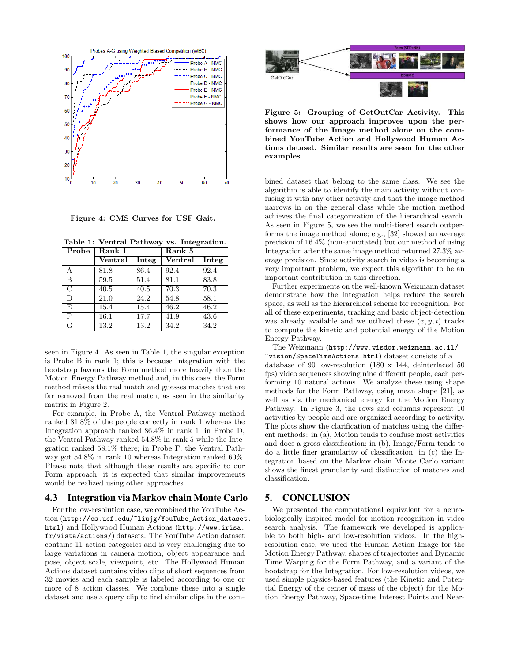

Figure 4: CMS Curves for USF Gait.

Table 1: Ventral Pathway vs. Integration.

| Probe          | Rank 1  |       | Rank 5  |       |
|----------------|---------|-------|---------|-------|
|                | Ventral | Integ | Ventral | Integ |
| А              | 81.8    | 86.4  | 92.4    | 92.4  |
| B              | 59.5    | 51.4  | 81.1    | 83.8  |
| $\overline{C}$ | 40.5    | 40.5  | 70.3    | 70.3  |
| D              | 21.0    | 24.2  | 54.8    | 58.1  |
| E              | 15.4    | 15.4  | 46.2    | 46.2  |
| F              | 16.1    | 17.7  | 41.9    | 43.6  |
| G              | 13.2    | 13.2  | 34.2    | 34.2  |

seen in Figure 4. As seen in Table 1, the singular exception is Probe B in rank 1; this is because Integration with the bootstrap favours the Form method more heavily than the Motion Energy Pathway method and, in this case, the Form method misses the real match and guesses matches that are far removed from the real match, as seen in the similarity matrix in Figure 2.

For example, in Probe A, the Ventral Pathway method ranked 81.8% of the people correctly in rank 1 whereas the Integration approach ranked 86.4% in rank 1; in Probe D, the Ventral Pathway ranked 54.8% in rank 5 while the Integration ranked 58.1% there; in Probe F, the Ventral Pathway got 54.8% in rank 10 whereas Integration ranked 60%. Please note that although these results are specific to our Form approach, it is expected that similar improvements would be realized using other approaches.

### 4.3 Integration via Markov chain Monte Carlo

For the low-resolution case, we combined the YouTube Action (http://cs.ucf.edu/~liujg/YouTube\_Action\_dataset. html) and Hollywood Human Actions (http://www.irisa. fr/vista/actions/) datasets. The YouTube Action dataset contains 11 action categories and is very challenging due to large variations in camera motion, object appearance and pose, object scale, viewpoint, etc. The Hollywood Human Actions dataset contains video clips of short sequences from 32 movies and each sample is labeled according to one or more of 8 action classes. We combine these into a single dataset and use a query clip to find similar clips in the com-



Figure 5: Grouping of GetOutCar Activity. This shows how our approach improves upon the performance of the Image method alone on the combined YouTube Action and Hollywood Human Actions dataset. Similar results are seen for the other examples

bined dataset that belong to the same class. We see the algorithm is able to identify the main activity without confusing it with any other activity and that the image method narrows in on the general class while the motion method achieves the final categorization of the hierarchical search. As seen in Figure 5, we see the multi-tiered search outperforms the image method alone; e.g., [32] showed an average precision of 16.4% (non-annotated) but our method of using Integration after the same image method returned 27.3% average precision. Since activity search in video is becoming a very important problem, we expect this algorithm to be an important contribution in this direction.

Further experiments on the well-known Weizmann dataset demonstrate how the Integration helps reduce the search space, as well as the hierarchical scheme for recognition. For all of these experiments, tracking and basic object-detection was already available and we utilized these  $(x, y, t)$  tracks to compute the kinetic and potential energy of the Motion Energy Pathway.

The Weizmann (http://www.wisdom.weizmann.ac.il/ ~vision/SpaceTimeActions.html) dataset consists of a database of 90 low-resolution (180 x 144, deinterlaced 50 fps) video sequences showing nine different people, each performing 10 natural actions. We analyze these using shape methods for the Form Pathway, using mean shape [21], as well as via the mechanical energy for the Motion Energy Pathway. In Figure 3, the rows and columns represent 10 activities by people and are organized according to activity. The plots show the clarification of matches using the different methods: in (a), Motion tends to confuse most activities and does a gross classification; in (b), Image/Form tends to do a little finer granularity of classification; in (c) the Integration based on the Markov chain Monte Carlo variant shows the finest granularity and distinction of matches and classification.

## 5. CONCLUSION

We presented the computational equivalent for a neurobiologically inspired model for motion recognition in video search analysis. The framework we developed is applicable to both high- and low-resolution videos. In the highresolution case, we used the Human Action Image for the Motion Energy Pathway, shapes of trajectories and Dynamic Time Warping for the Form Pathway, and a variant of the bootstrap for the Integration. For low-resolution videos, we used simple physics-based features (the Kinetic and Potential Energy of the center of mass of the object) for the Motion Energy Pathway, Space-time Interest Points and Near